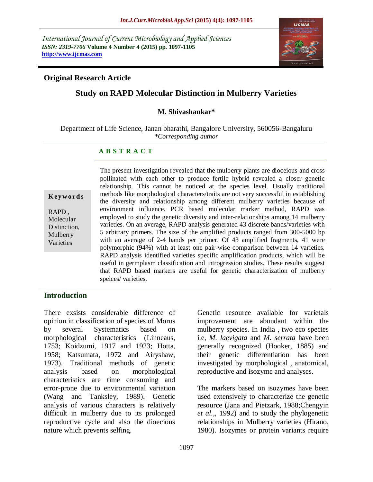*International Journal of Current Microbiology and Applied Sciences ISSN: 2319-7706* **Volume 4 Number 4 (2015) pp. 1097-1105 http://www.ijcmas.com**



### **Original Research Article**

# **Study on RAPD Molecular Distinction in Mulberry Varieties**

#### **M. Shivashankar\***

Department of Life Science, Janan bharathi, Bangalore University, 560056-Bangaluru *\*Corresponding author*

#### **A B S T R A C T**

**K ey w o rd s**

RAPD , Molecular Distinction, Mulberry Varieties

The present investigation revealed that the mulberry plants are dioceious and cross pollinated with each other to produce fertile hybrid revealed a closer genetic relationship. This cannot be noticed at the species level. Usually traditional methods like morphological characters/traits are not very successful in establishing the diversity and relationship among different mulberry varieties because of environment influence. PCR based molecular marker method, RAPD was employed to study the genetic diversity and inter-relationships among 14 mulberry varieties. On an average, RAPD analysis generated 43 discrete bands/varieties with 5 arbitrary primers. The size of the amplified products ranged from 300-5000 bp with an average of 2-4 bands per primer. Of 43 amplified fragments, 41 were polymorphic (94%) with at least one pair-wise comparison between 14 varieties. RAPD analysis identified varieties specific amplification products, which will be useful in germplasm classification and introgression studies. These results suggest that RAPD based markers are useful for genetic characterization of mulberry speices/ varieties.

### **Introduction**

There exsists considerable difference of opinion in classification of species of Morus by several Systematics based on morphological characteristics (Linneaus, 1753; Koidzumi, 1917 and 1923; Hotta, 1958; Katsumata, 1972 and Airyshaw, 1973). Traditional methods of genetic analysis based on morphological characteristics are time consuming and error-prone due to environmental variation (Wang and Tanksley, 1989). Genetic analysis of various characters is relatively difficult in mulberry due to its prolonged reproductive cycle and also the dioecious nature which prevents selfing.

Genetic resource available for varietals improvement are abundant within the mulberry species. In India , two eco species i.e, *M. laevigata* and *M. serrata* have been generally recognized (Hooker, 1885) and their genetic differentiation has been investigated by morphological , anatomical, reproductive and isozyme and analyses.

The markers based on isozymes have been used extensively to characterize the genetic resource (Jana and Pietzark, 1988;Chengyin *et al.,*, 1992) and to study the phylogenetic relationships in Mulberry varieties (Hirano, 1980). Isozymes or protein variants require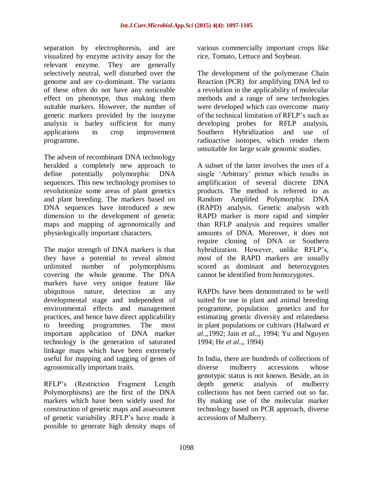separation by electrophoresis, and are visualized by enzyme activity assay for the relevant enzyme. They are generally selectively neutral, well disturbed over the genome and are co-dominant. The variants of these often do not have any noticeable effect on phenotype, thus making them suitable markers. However, the number of genetic markers provided by the isozyme analysis is barley sufficient for many applications in crop improvement programme.

The advent of recombinant DNA technology heralded a completely new approach to define potentially polymorphic DNA sequences. This new technology promises to revolutionize some areas of plant genetics and plant breeding. The markers based on DNA sequences have introduced a new dimension to the development of genetic maps and mapping of agronomically and physiologically important characters.

The major strength of DNA markers is that they have a potential to reveal almost unlimited number of polymorphisms covering the whole genome. The DNA markers have very unique feature like ubiquitous nature, detection at any developmental stage and independent of environmental effects and management practices, and hence have direct applicability to breeding programmes. The most important application of DNA marker technology is the generation of saturated linkage maps which have been extremely useful for mapping and tagging of genes of agronomically important traits.

RFLP's (Restriction Fragment Length Polymorphisms) are the first of the DNA markers which have been widely used for construction of genetic maps and assessment of genetic variability .RFLP's have made it possible to generate high density maps of

various commercially important crops like rice, Tomato, Lettuce and Soybean.

The development of the polymerase Chain Reaction (PCR) for amplifying DNA led to a revolution in the applicability of molecular methods and a range of new technologies were developed which can overcome many of the technical limitation of RFLP's such as developing probes for RFLP analysis, Southern Hybridization and use of radioactive isotopes, which render them unsuitable for large scale genomic studies.

A subset of the latter involves the uses of a single 'Arbitrary' primer which results in amplification of several discrete DNA products. The method is referred to as Random Amplifed Polymorphic DNA (RAPD) analysis. Genetic analysis with RAPD marker is more rapid and simpler than RFLP analysis and requires smaller amounts of DNA. Moreover, it does not require cloning of DNA or Southern hybridization. However, unlike RFLP's, most of the RAPD markers are usually scored as dominant and heterozygotes cannot be identified from homozygotes.

RAPDs have been demonstrated to be well suited for use in plant and animal breeding programme, population genetics and for estimating genetic diversity and relatedness in plant populations or cultivars (Halward *et al.,*,1992; Jain *et al.,*, 1994; Yu and Nguyen 1994; He *et al.,*, 1994)

In India, there are hundreds of collections of diverse mulberry accessions whose genotypic status is not known. Beside, an in depth genetic analysis of mulberry collections has not been carried out so far. By making use of the molecular marker technology based on PCR approach, diverse accessions of Mulberry.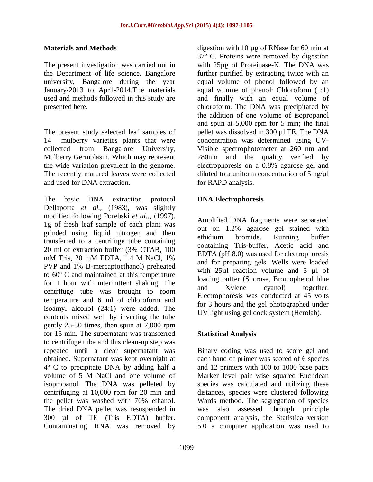#### **Materials and Methods**

The present investigation was carried out in the Department of life science, Bangalore university, Bangalore during the year January-2013 to April-2014.The materials used and methods followed in this study are presented here.

The present study selected leaf samples of 14 mulberry varieties plants that were collected from Bangalore University, Mulberry Germplasm. Which may represent the wide variation prevalent in the genome. The recently matured leaves were collected and used for DNA extraction.

The basic DNA extraction protocol Dellaporta *et al.,* (1983), was slightly modified following Porebski *et al.,*, (1997). 1g of fresh leaf sample of each plant was grinded using liquid nitrogen and then transferred to a centrifuge tube containing 20 ml of extraction buffer (3% CTAB, 100 mM Tris, 20 mM EDTA, 1.4 M NaCl, 1% PVP and 1% B-mercaptoethanol) preheated to 60º C and maintained at this temperature for 1 hour with intermittent shaking. The centrifuge tube was brought to room temperature and 6 ml of chloroform and isoamyl alcohol (24:1) were added. The contents mixed well by inverting the tube gently 25-30 times, then spun at 7,000 rpm for 15 min. The supernatant was transferred to centrifuge tube and this clean-up step was repeated until a clear supernatant was obtained. Supernatant was kept overnight at 4º C to precipitate DNA by adding half a volume of 5 M NaCl and one volume of isopropanol. The DNA was pelleted by centrifuging at 10,000 rpm for 20 min and the pellet was washed with 70% ethanol. The dried DNA pellet was resuspended in 300 µl of TE (Tris EDTA) buffer. Contaminating RNA was removed by

digestion with 10 µg of RNase for 60 min at 37º C. Proteins were removed by digestion with 25µg of Proteinase-K. The DNA was further purified by extracting twice with an equal volume of phenol followed by an equal volume of phenol: Chloroform (1:1) and finally with an equal volume of chloroform. The DNA was precipitated by the addition of one volume of isopropanol and spun at 5,000 rpm for 5 min; the final pellet was dissolved in 300 µl TE. The DNA concentration was determined using UV-Visible spectrophotometer at 260 nm and 280nm and the quality verified by electrophoresis on a 0.8% agarose gel and diluted to a uniform concentration of  $5$  ng/ $\mu$ l for RAPD analysis.

## **DNA Electrophoresis**

Amplified DNA fragments were separated out on 1.2% agarose gel stained with ethidium bromide. Running buffer containing Tris-buffer, Acetic acid and EDTA (pH 8.0) was used for electrophoresis and for preparing gels. Wells were loaded with  $25\mu l$  reaction volume and 5  $\mu l$  of loading buffer (Sucrose, Bromophenol blue and Xylene cyanol) together. Electrophoresis was conducted at 45 volts for 3 hours and the gel photographed under UV light using gel dock system (Herolab).

#### **Statistical Analysis**

Binary coding was used to score gel and each band of primer was scored of 6 species and 12 primers with 100 to 1000 base pairs Marker level pair wise squared Euclidean species was calculated and utilizing these distances, species were clustered following Wards method. The segregation of species was also assessed through principle component analysis, the Statistica version 5.0 a computer application was used to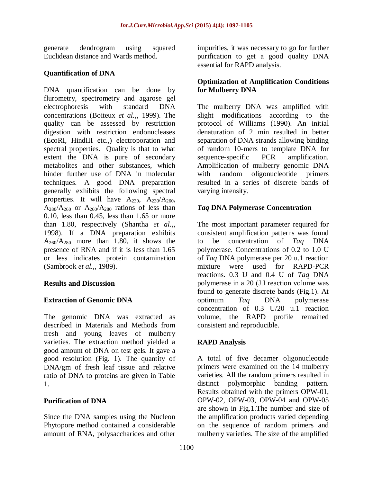generate dendrogram using squared Euclidean distance and Wards method.

### **Quantification of DNA**

DNA quantification can be done by flurometry, spectrometry and agarose gel electrophoresis with standard DNA concentrations (Boiteux *et al.,,* 1999). The quality can be assessed by restriction digestion with restriction endonucleases (EcoRI, HindIII etc.,) electroporation and spectral properties. Quality is that to what extent the DNA is pure of secondary metabolites and other substances, which hinder further use of DNA in molecular techniques. A good DNA preparation generally exhibits the following spectral properties. It will have  $A_{230}$ ,  $A_{230}/A_{260}$ ,  $A_{280}/A_{260}$  or  $A_{260}/A_{280}$  rations of less than 0.10, less than 0.45, less than 1.65 or more than 1.80, respectively (Shantha *et al.,,* 1998). If a DNA preparation exhibits  $A_{260}/A_{280}$  more than 1.80, it shows the presence of RNA and if it is less than 1.65 or less indicates protein contamination (Sambrook *et al.,,* 1989).

#### **Results and Discussion**

## **Extraction of Genomic DNA**

The genomic DNA was extracted as described in Materials and Methods from fresh and young leaves of mulberry varieties. The extraction method yielded a good amount of DNA on test gels. It gave a good resolution (Fig. 1). The quantity of DNA/gm of fresh leaf tissue and relative ratio of DNA to proteins are given in Table 1.

#### **Purification of DNA**

Since the DNA samples using the Nucleon Phytopore method contained a considerable amount of RNA, polysaccharides and other

impurities, it was necessary to go for further purification to get a good quality DNA essential for RAPD analysis.

### **Optimization of Amplification Conditions for Mulberry DNA**

The mulberry DNA was amplified with slight modifications according to the protocol of Williams (1990). An initial denaturation of 2 min resulted in better separation of DNA strands allowing binding of random 10-mers to template DNA for sequence-specific PCR amplification. Amplification of mulberry genomic DNA with random oligonucleotide primers resulted in a series of discrete bands of varying intensity.

### *Taq* **DNA Polymerase Concentration**

The most important parameter required for consistent amplification patterns was found to be concentration of *Taq* DNA polymerase. Concentrations of 0.2 to 1.0 U of *Taq* DNA polymerase per 20 u.1 reaction mixture were used for RAPD-PCR reactions. 0.3 U and 0.4 U of *Taq* DNA polymerase in a 20 (J.I reaction volume was found to generate discrete bands (Fig.1). At optimum *Taq* DNA polymerase concentration of 0.3 U/20 u.1 reaction volume, the RAPD profile remained consistent and reproducible.

## **RAPD Analysis**

A total of five decamer oligonucleotide primers were examined on the 14 mulberry varieties. All the random primers resulted in distinct polymorphic banding pattern. Results obtained with the primers OPW-01, OPW-02, OPW-03, OPW-04 and OPW-05 are shown in Fig.1.The number and size of the amplification products varied depending on the sequence of random primers and mulberry varieties. The size of the amplified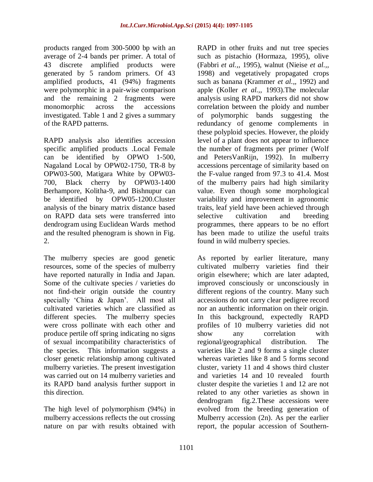products ranged from 300-5000 bp with an average of 2-4 bands per primer. A total of 43 discrete amplified products were generated by 5 random primers. Of 43 amplified products, 41 (94%) fragments were polymorphic in a pair-wise comparison and the remaining 2 fragments were monomorphic across the accessions investigated. Table 1 and 2 gives a summary of the RAPD patterns.

RAPD analysis also identifies accession specific amplified products .Local Female can be identified by OPWO 1-500, Nagaland Local by OPW02-1750, TR-8 by OPW03-500, Matigara White by OPW03- 700, Black cherry by OPW03-1400 Berhampore, Kolitha-9, and Bishnupur can be identified by OPW05-1200.Cluster analysis of the binary matrix distance based on RAPD data sets were transferred into dendrogram using Euclidean Wards method and the resulted phenogram is shown in Fig. 2.

The mulberry species are good genetic resources, some of the species of mulberry have reported naturally in India and Japan. Some of the cultivate species / varieties do not find-their origin outside the country specially 'China & Japan'. All most all cultivated varieties which are classified as different species. The mulberry species were cross pollinate with each other and produce pertile off spring indicating no signs of sexual incompatibility characteristics of the species. This information suggests a closer genetic relationship among cultivated mulberry varieties. The present investigation was carried out on 14 mulberry varieties and its RAPD band analysis further support in this direction.

The high level of polymorphism (94%) in mulberry accessions reflects the out crossing nature on par with results obtained with RAPD in other fruits and nut tree species such as pistachio (Hormaza, 1995), olive (Fabbri *et al.,,* 1995), walnut (Nieise *et al.,,* 1998) and vegetatively propagated crops such as banana (Krammer *et al.,,* 1992) and apple (Koller *et al.,,* 1993).The molecular analysis using RAPD markers did not show correlation between the ploidy and number of polymorphic bands suggesting the redundancy of genome complements in these polyploid species. However, the ploidy level of a plant does not appear to influence the number of fragments per primer (Wolf and PetersVanRijn, 1992). In mulberry accessions percentage of similarity based on the F-value ranged from 97.3 to 41.4. Most of the mulberry pairs had high similarity value. Even though some morphological variability and improvement in agronomic traits, leaf yield have been achieved through selective cultivation and breeding programmes, there appears to be no effort has been made to utilize the useful traits found in wild mulberry species.

As reported by earlier literature, many cultivated mulberry varieties find their origin elsewhere; which are later adapted, improved consciously or unconsciously in different regions of the country. Many such accessions do not carry clear pedigree record nor an authentic information on their origin. In this background, expectedly RAPD profiles of 10 mulberry varieties did not show any correlation with regional/geographical distribution. The varieties like 2 and 9 forms a single cluster whereas varieties like 8 and 5 forms second cluster, variety 11 and 4 shows third cluster and varieties 14 and 10 revealed fourth cluster despite the varieties 1 and 12 are not related to any other varieties as shown in dendrogram fig.2.These accessions were evolved from the breeding generation of Mulberry accession (2n). As per the earlier report, the popular accession of Southern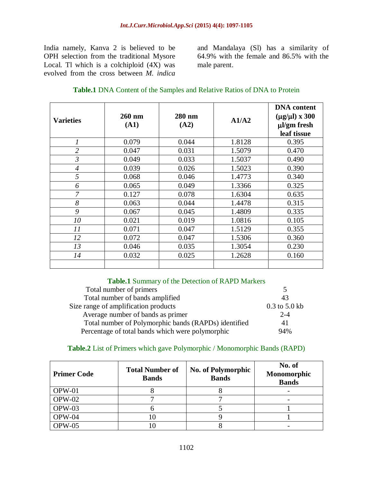India namely, Kanva 2 is believed to be OPH selection from the traditional Mysore Local. Tl which is a colchiploid (4X) was evolved from the cross between *M. indica*

and Mandalaya (Sl) has a similarity of 64.9% with the female and 86.5% with the male parent.

| <b>Varieties</b> | 260 nm<br>(A1) | 280 nm<br>(A2) | A1/A2  | <b>DNA</b> content<br>$(\mu g/\mu l)$ x 300<br>µl/gm fresh<br>leaf tissue |
|------------------|----------------|----------------|--------|---------------------------------------------------------------------------|
| 1                | 0.079          | 0.044          | 1.8128 | 0.395                                                                     |
| $\overline{2}$   | 0.047          | 0.031          | 1.5079 | 0.470                                                                     |
| $\mathfrak{Z}$   | 0.049          | 0.033          | 1.5037 | 0.490                                                                     |
| $\overline{4}$   | 0.039          | 0.026          | 1.5023 | 0.390                                                                     |
| 5                | 0.068          | 0.046          | 1.4773 | 0.340                                                                     |
| 6                | 0.065          | 0.049          | 1.3366 | 0.325                                                                     |
| 7                | 0.127          | 0.078          | 1.6304 | 0.635                                                                     |
| 8                | 0.063          | 0.044          | 1.4478 | 0.315                                                                     |
| 9                | 0.067          | 0.045          | 1.4809 | 0.335                                                                     |
| 10               | 0.021          | 0.019          | 1.0816 | 0.105                                                                     |
| 11               | 0.071          | 0.047          | 1.5129 | 0.355                                                                     |
| 12               | 0.072          | 0.047          | 1.5306 | 0.360                                                                     |
| 13               | 0.046          | 0.035          | 1.3054 | 0.230                                                                     |
| 14               | 0.032          | 0.025          | 1.2628 | 0.160                                                                     |
|                  |                |                |        |                                                                           |

#### **Table.1** Summary of the Detection of RAPD Markers

| Total number of primers                              |                   |
|------------------------------------------------------|-------------------|
| Total number of bands amplified                      | 43                |
| Size range of amplification products                 | $0.3$ to $5.0$ kb |
| Average number of bands as primer                    | $2 - 4$           |
| Total number of Polymorphic bands (RAPDs) identified | 41                |
| Percentage of total bands which were polymorphic     | 94%               |

#### **Table.2** List of Primers which gave Polymorphic / Monomorphic Bands (RAPD)

| <b>Primer Code</b> | <b>Total Number of</b><br><b>Bands</b> | <b>No. of Polymorphic</b><br><b>Bands</b> | No. of<br>Monomorphic<br><b>Bands</b> |
|--------------------|----------------------------------------|-------------------------------------------|---------------------------------------|
| $OPW-01$           |                                        |                                           |                                       |
| $OPW-02$           |                                        |                                           |                                       |
| $OPW-03$           |                                        |                                           |                                       |
| $OPW-04$           | LO                                     |                                           |                                       |
| $OPW-05$           |                                        |                                           |                                       |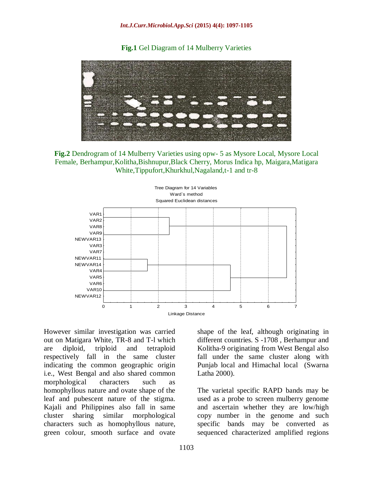**Fig.1** Gel Diagram of 14 Mulberry Varieties



**Fig.2** Dendrogram of 14 Mulberry Varieties using opw- 5 as Mysore Local, Mysore Local Female, Berhampur,Kolitha,Bishnupur,Black Cherry, Morus Indica hp, Maigara,Matigara White,Tippufort,Khurkhul,Nagaland,t-1 and tr-8



However similar investigation was carried out on Matigara White, TR-8 and T-l which are diploid, triploid and tetraploid respectively fall in the same cluster indicating the common geographic origin i.e., West Bengal and also shared common morphological characters such as homophyllous nature and ovate shape of the leaf and pubescent nature of the stigma. Kajali and Philippines also fall in same cluster sharing similar morphological characters such as homophyllous nature, green colour, smooth surface and ovate

shape of the leaf, although originating in different countries. S -1708 , Berhampur and Kolitha-9 originating from West Bengal also fall under the same cluster along with Punjab local and Himachal local (Swarna Latha 2000).

The varietal specific RAPD bands may be used as a probe to screen mulberry genome and ascertain whether they are low/high copy number in the genome and such specific bands may be converted as sequenced characterized amplified regions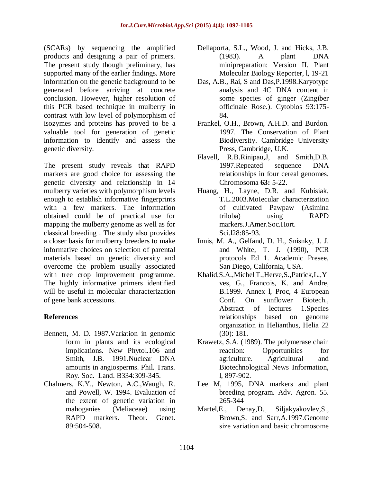(SCARs) by sequencing the amplified products and designing a pair of primers. The present study though preliminary, has supported many of the earlier findings. More information on the genetic background to be generated before arriving at concrete conclusion. However, higher resolution of this PCR based technique in mulberry in contrast with low level of polymorphism of isozymes and proteins has proved to be a valuable tool for generation of genetic information to identify and assess the genetic diversity.

The present study reveals that RAPD markers are good choice for assessing the genetic diversity and relationship in 14 mulberry varieties with polymorphism levels enough to establish informative fingerprints with a few markers. The information obtained could be of practical use for mapping the mulberry genome as well as for classical breeding . The study also provides a closer basis for mulberry breeders to make informative choices on selection of parental materials based on genetic diversity and overcome the problem usually associated with tree crop improvement programme. The highly informative primers identified will be useful in molecular characterization of gene bank accessions.

## **References**

- Bennett, M. D. 1987.Variation in genomic form in plants and its ecological implications. New Phytol.106 and Smith, J.B. 1991.Nuclear DNA amounts in angiosperms. Phil. Trans. Roy. Soc. Land. B334:309-345.
- Chalmers, K.Y., Newton, A.C.,Waugh, R. and Powell, W. 1994. Evaluation of the extent of genetic variation in mahoganies (Meliaceae) using RAPD markers. Theor. Genet. 89:504-508.
- Dellaporta, S.L., Wood, J. and Hicks, J.B. (1983). A plant DNA minipreparation: Version II. Plant Molecular Biology Reporter, l, 19-21
- Das, A.B., Rai, S and Das,P.1998.Karyotype analysis and 4C DNA content in some species of ginger (Zingiber officinale Rose.). Cytobios 93:175- 84.
- Frankel, O.H., Brown, A.H.D. and Burdon. 1997. The Conservation of Plant Biodiversity. Cambridge University Press, Cambridge, U.K.
- Flavell, R.B.Rinipau,J, and Smith,D.B. 1997.Repeated sequence DNA relationships in four cereal genomes. Chromosoma **63:** 5-22.
- Huang, H., Layne, D.R. and Kubisiak, T.L.2003.MoIecular characterization of cultivated Pawpaw (Asimina triloba) using RAPD markers.J.Amer.Soc.Hort. Sci.l28:85-93.
- Innis, M. A., Gelfand, D. H., Snisnky, J. J. and White, T. J. (1990), PCR protocols Ed 1. Academic Presee, San Diego, California, USA.
- Khalid, S.A., Michel T., Herve, S., Patrick, L., Y ves, G., Francois, K. and Andre, B.1999. Annex l, Proc, 4 European Conf. On sunflower Biotech., Abstract of lectures 1.Species relationships based on genome organization in Helianthus, Helia 22 (30): 181.
- Krawetz, S.A. (1989). The polymerase chain reaction: Opportunities for agriculture. Agricultural and Biotechnological News Information, l, 897-902.
- Lee M, 1995, DNA markers and plant breeding program. Adv. Agron. 55. 265-344
- Martel, E., Denay, D. Siljakyakovlev, S., Brown,S. and Sarr,A.1997.Genome size variation and basic chromosome